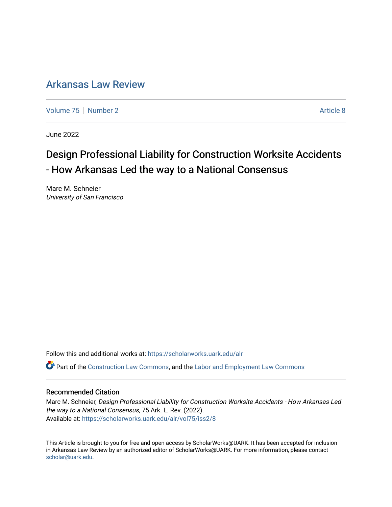## [Arkansas Law Review](https://scholarworks.uark.edu/alr)

[Volume 75](https://scholarworks.uark.edu/alr/vol75) [Number 2](https://scholarworks.uark.edu/alr/vol75/iss2) Article 8

June 2022

# Design Professional Liability for Construction Worksite Accidents - How Arkansas Led the way to a National Consensus

Marc M. Schneier University of San Francisco

Follow this and additional works at: [https://scholarworks.uark.edu/alr](https://scholarworks.uark.edu/alr?utm_source=scholarworks.uark.edu%2Falr%2Fvol75%2Fiss2%2F8&utm_medium=PDF&utm_campaign=PDFCoverPages) 

Part of the [Construction Law Commons,](https://network.bepress.com/hgg/discipline/590?utm_source=scholarworks.uark.edu%2Falr%2Fvol75%2Fiss2%2F8&utm_medium=PDF&utm_campaign=PDFCoverPages) and the [Labor and Employment Law Commons](https://network.bepress.com/hgg/discipline/909?utm_source=scholarworks.uark.edu%2Falr%2Fvol75%2Fiss2%2F8&utm_medium=PDF&utm_campaign=PDFCoverPages) 

#### Recommended Citation

Marc M. Schneier, Design Professional Liability for Construction Worksite Accidents - How Arkansas Led the way to a National Consensus, 75 Ark. L. Rev. (2022). Available at: [https://scholarworks.uark.edu/alr/vol75/iss2/8](https://scholarworks.uark.edu/alr/vol75/iss2/8?utm_source=scholarworks.uark.edu%2Falr%2Fvol75%2Fiss2%2F8&utm_medium=PDF&utm_campaign=PDFCoverPages)

This Article is brought to you for free and open access by ScholarWorks@UARK. It has been accepted for inclusion in Arkansas Law Review by an authorized editor of ScholarWorks@UARK. For more information, please contact [scholar@uark.edu](mailto:scholar@uark.edu).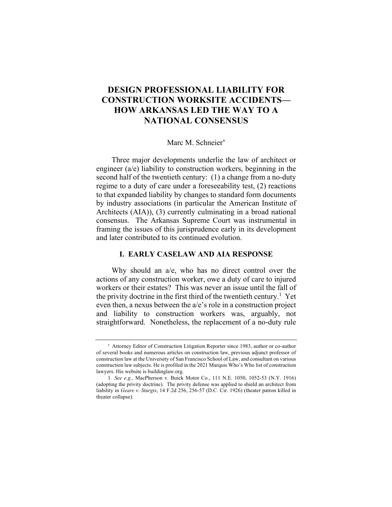### **DESIGN PROFESSIONAL LIABILITY FOR CONSTRUCTION WORKSITE ACCIDENTS— HOW ARKANSAS LED THE WAY TO A NATIONAL CONSENSUS**

#### Marc M. Schneier\*

Three major developments underlie the law of architect or engineer (a/e) liability to construction workers, beginning in the second half of the twentieth century: (1) a change from a no-duty regime to a duty of care under a foreseeability test, (2) reactions to that expanded liability by changes to standard form documents by industry associations (in particular the American Institute of Architects (AIA)), (3) currently culminating in a broad national consensus. The Arkansas Supreme Court was instrumental in framing the issues of this jurisprudence early in its development and later contributed to its continued evolution.

#### **I. EARLY CASELAW AND AIA RESPONSE**

Why should an a/e, who has no direct control over the actions of any construction worker, owe a duty of care to injured workers or their estates? This was never an issue until the fall of the privity doctrine in the first third of the twentieth century.<sup>1</sup> Yet even then, a nexus between the a/e's role in a construction project and liability to construction workers was, arguably, not straightforward. Nonetheless, the replacement of a no-duty rule

<sup>\*</sup> Attorney Editor of Construction Litigation Reporter since 1983, author or co-author of several books and numerous articles on construction law, previous adjunct professor of construction law at the University of San Francisco School of Law, and consultant on various construction law subjects. He is profiled in the 2021 Marquis Who's Who list of construction lawyers. His website is buildinglaw.org.

<sup>1</sup>*. See e.g.*, MacPherson v. Buick Motor Co., 111 N.E. 1050, 1052-53 (N.Y. 1916) (adopting the privity doctrine). The privity defense was applied to shield an architect from liability in *Geare v. Sturgis*, 14 F.2d 256, 256-57 (D.C. Cir. 1926) (theater patron killed in theater collapse).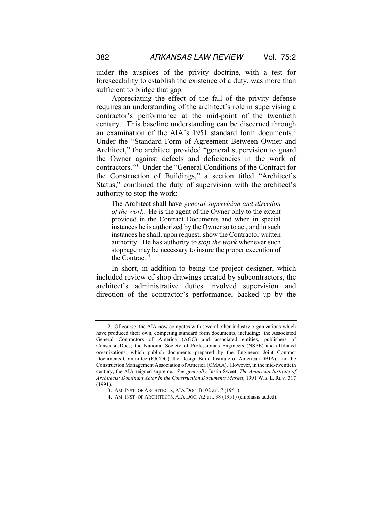under the auspices of the privity doctrine, with a test for foreseeability to establish the existence of a duty, was more than sufficient to bridge that gap.

Appreciating the effect of the fall of the privity defense requires an understanding of the architect's role in supervising a contractor's performance at the mid-point of the twentieth century. This baseline understanding can be discerned through an examination of the AIA's 1951 standard form documents.<sup>2</sup> Under the "Standard Form of Agreement Between Owner and Architect," the architect provided "general supervision to guard the Owner against defects and deficiencies in the work of contractors."3 Under the "General Conditions of the Contract for the Construction of Buildings," a section titled "Architect's Status," combined the duty of supervision with the architect's authority to stop the work:

The Architect shall have *general supervision and direction of the work*. He is the agent of the Owner only to the extent provided in the Contract Documents and when in special instances he is authorized by the Owner so to act, and in such instances he shall, upon request, show the Contractor written authority. He has authority to *stop the work* whenever such stoppage may be necessary to insure the proper execution of the Contract.<sup>4</sup>

In short, in addition to being the project designer, which included review of shop drawings created by subcontractors, the architect's administrative duties involved supervision and direction of the contractor's performance, backed up by the

<sup>2.</sup> Of course, the AIA now competes with several other industry organizations which have produced their own, competing standard form documents, including: the Associated General Contractors of America (AGC) and associated entities, publishers of ConsensusDocs; the National Society of Professionals Engineers (NSPE) and affiliated organizations, which publish documents prepared by the Engineers Joint Contract Documents Committee (EJCDC); the Design-Build Institute of America (DBIA); and the Construction Management Association of America (CMAA). However, in the mid-twentieth century, the AIA reigned supreme. *See generally* Justin Sweet, *The American Institute of Architects: Dominant Actor in the Construction Documents Market*, 1991 WIS. L. REV. 317 (1991).

<sup>3.</sup> AM. INST. OF ARCHITECTS, AIA DOC. B102 art. 7 (1951).

<sup>4.</sup> AM. INST. OF ARCHITECTS, AIA DOC. A2 art. 38 (1951) (emphasis added).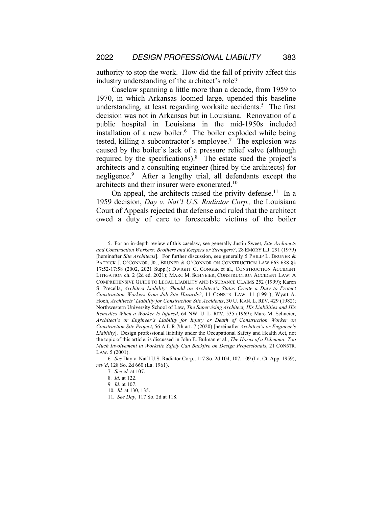authority to stop the work. How did the fall of privity affect this industry understanding of the architect's role?

Caselaw spanning a little more than a decade, from 1959 to 1970, in which Arkansas loomed large, upended this baseline understanding, at least regarding worksite accidents.<sup>5</sup> The first decision was not in Arkansas but in Louisiana. Renovation of a public hospital in Louisiana in the mid-1950s included installation of a new boiler. $6$  The boiler exploded while being tested, killing a subcontractor's employee.<sup>7</sup> The explosion was caused by the boiler's lack of a pressure relief valve (although required by the specifications).8 The estate sued the project's architects and a consulting engineer (hired by the architects) for negligence.9 After a lengthy trial, all defendants except the architects and their insurer were exonerated.10

On appeal, the architects raised the privity defense.<sup>11</sup> In a 1959 decision, *Day v. Nat'l U.S. Radiator Corp.,* the Louisiana Court of Appeals rejected that defense and ruled that the architect owed a duty of care to foreseeable victims of the boiler

<sup>5.</sup> For an in-depth review of this caselaw, see generally Justin Sweet, *Site Architects and Construction Workers: Brothers and Keepers or Strangers?*, 28 EMORY L.J. 291 (1979) [hereinafter *Site Architects*]. For further discussion, see generally 5 PHILIP L. BRUNER & PATRICK J. O'CONNOR, JR., BRUNER & O'CONNOR ON CONSTRUCTION LAW 663-688 §§ 17:52-17:58 (2002, 2021 Supp.); DWIGHT G. CONGER et al., CONSTRUCTION ACCIDENT LITIGATION ch. 2 (2d ed. 2021); MARC M. SCHNEIER, CONSTRUCTION ACCIDENT LAW: A COMPREHENSIVE GUIDE TO LEGAL LIABILITY AND INSURANCE CLAIMS 252 (1999); Karen S. Precella, *Architect Liability: Should an Architect's Status Create a Duty to Protect Construction Workers from Job-Site Hazards?*, 11 CONSTR. LAW. 11 (1991); Wyatt A. Hoch, *Architects' Liability for Construction Site Accidents*, 30 U. KAN. L. REV. 429 (1982); Northwestern University School of Law, *The Supervising Architect, His Liabilities and His Remedies When a Worker Is Injured*, 64 NW. U. L. REV. 535 (1969); Marc M. Schneier, *Architect's or Engineer's Liability for Injury or Death of Construction Worker on Construction Site Project*, 56 A.L.R.7th art. 7 (2020) [hereinafter *Architect's or Engineer's Liability*]. Design professional liability under the Occupational Safety and Health Act, not the topic of this article, is discussed in John E. Bulman et al., *The Horns of a Dilemma: Too Much Involvement in Worksite Safety Can Backfire on Design Professionals*, 21 CONSTR. LAW. 5 (2001).

<sup>6</sup>*. See* Day v. Nat'l U.S. Radiator Corp., 117 So. 2d 104, 107, 109 (La. Ct. App. 1959), *rev'd*, 128 So. 2d 660 (La. 1961).

<sup>7</sup>*. See id.* at 107.

<sup>8</sup>*. Id.* at 122.

<sup>9</sup>*. Id.* at 107.

<sup>10</sup>*. Id.* at 130, 135.

<sup>11</sup>*. See Day*, 117 So. 2d at 118.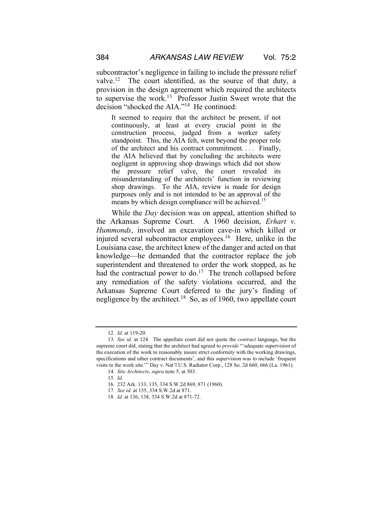subcontractor's negligence in failing to include the pressure relief valve.12 The court identified, as the source of that duty, a provision in the design agreement which required the architects to supervise the work.<sup>13</sup> Professor Justin Sweet wrote that the decision "shocked the AIA."14 He continued:

It seemed to require that the architect be present, if not continuously, at least at every crucial point in the construction process, judged from a worker safety standpoint. This, the AIA felt, went beyond the proper role of the architect and his contract commitment. . . . Finally, the AIA believed that by concluding the architects were negligent in approving shop drawings which did not show the pressure relief valve, the court revealed its misunderstanding of the architects' function in reviewing shop drawings. To the AIA, review is made for design purposes only and is not intended to be an approval of the means by which design compliance will be achieved.<sup>15</sup>

While the *Day* decision was on appeal, attention shifted to the Arkansas Supreme Court. A 1960 decision, *Erhart v. Hummonds*, involved an excavation cave-in which killed or injured several subcontractor employees.<sup>16</sup> Here, unlike in the Louisiana case, the architect knew of the danger and acted on that knowledge—he demanded that the contractor replace the job superintendent and threatened to order the work stopped, as he had the contractual power to do.<sup>17</sup> The trench collapsed before any remediation of the safety violations occurred, and the Arkansas Supreme Court deferred to the jury's finding of negligence by the architect.<sup>18</sup> So, as of 1960, two appellate court

<sup>12</sup>*. Id.* at 119-20.

<sup>13</sup>*. See id.* at 124. The appellate court did not quote the *contract* language, but the supreme court did, stating that the architect had agreed to *provide* "'adequate supervision of the execution of the work to reasonably insure strict conformity with the working drawings, specifications and other contract documents', and this supervision was to include 'frequent visits to the work site.'" Day v. Nat'l U.S. Radiator Corp., 128 So. 2d 660, 666 (La. 1961).

<sup>14</sup>*. Site Architects*, *supra* note 5, at 303.

<sup>15</sup>*. Id.*

<sup>16.</sup> 232 Ark. 133, 135, 334 S.W.2d 869, 871 (1960).

<sup>17</sup>*. See id.* at 135, 334 S.W.2d at 871.

<sup>18</sup>*. Id.* at 136, 138, 334 S.W.2d at 871-72.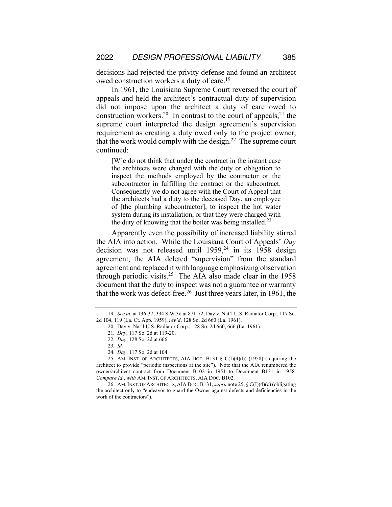decisions had rejected the privity defense and found an architect owed construction workers a duty of care.19

In 1961, the Louisiana Supreme Court reversed the court of appeals and held the architect's contractual duty of supervision did not impose upon the architect a duty of care owed to construction workers.<sup>20</sup> In contrast to the court of appeals,<sup>21</sup> the supreme court interpreted the design agreement's supervision requirement as creating a duty owed only to the project owner, that the work would comply with the design.<sup>22</sup> The supreme court continued:

[W]e do not think that under the contract in the instant case the architects were charged with the duty or obligation to inspect the methods employed by the contractor or the subcontractor in fulfilling the contract or the subcontract. Consequently we do not agree with the Court of Appeal that the architects had a duty to the deceased Day, an employee of [the plumbing subcontractor], to inspect the hot water system during its installation, or that they were charged with the duty of knowing that the boiler was being installed.<sup>23</sup>

Apparently even the possibility of increased liability stirred the AIA into action. While the Louisiana Court of Appeals' *Day* decision was not released until  $1959<sup>24</sup>$  in its 1958 design agreement, the AIA deleted "supervision" from the standard agreement and replaced it with language emphasizing observation through periodic visits.<sup>25</sup> The AIA also made clear in the  $1958$ document that the duty to inspect was not a guarantee or warranty that the work was defect-free.<sup>26</sup> Just three years later, in 1961, the

26. AM.INST. OF ARCHITECTS, AIA DOC. B131, *supra* note 25, § C(I)(4)(c) (obligating the architect only to "endeavor to guard the Owner against defects and deficiencies in the work of the contractors").

<sup>19</sup>*. See id.* at 136-37, 334 S.W.3d at 871-72; Day v. Nat'l U.S. Radiator Corp., 117 So. 2d 104, 119 (La. Ct. App. 1959), *rev'd*, 128 So. 2d 660 (La. 1961).

<sup>20.</sup> Day v. Nat'l U.S. Radiator Corp., 128 So. 2d 660, 666 (La. 1961).

<sup>21</sup>*. Day*, 117 So. 2d at 119-20.

<sup>22</sup>*. Day*, 128 So. 2d at 666.

<sup>23</sup>*. Id.*

<sup>24</sup>*. Day*, 117 So. 2d at 104.

<sup>25.</sup> AM. INST. OF ARCHITECTS, AIA DOC. B131 § C(I)(4)(b) (1958) (requiring the architect to provide "periodic inspections at the site"). Note that the AIA renumbered the owner/architect contract from Document B102 in 1951 to Document B131 in 1958. *Compare Id.*, *with* AM. INST. OF ARCHITECTS, AIA DOC. B102.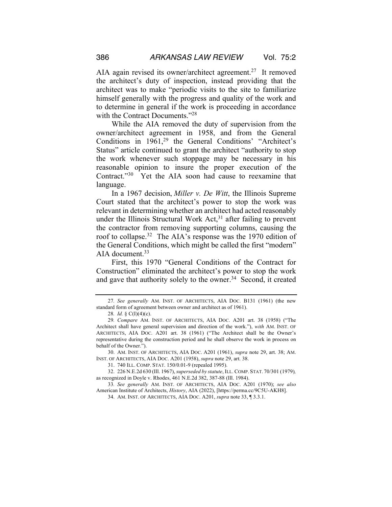AIA again revised its owner/architect agreement.<sup>27</sup> It removed the architect's duty of inspection, instead providing that the architect was to make "periodic visits to the site to familiarize himself generally with the progress and quality of the work and to determine in general if the work is proceeding in accordance with the Contract Documents."<sup>28</sup>

While the AIA removed the duty of supervision from the owner/architect agreement in 1958, and from the General Conditions in 1961,<sup>29</sup> the General Conditions' "Architect's Status" article continued to grant the architect "authority to stop the work whenever such stoppage may be necessary in his reasonable opinion to insure the proper execution of the Contract."30 Yet the AIA soon had cause to reexamine that language.

In a 1967 decision, *Miller v. De Witt*, the Illinois Supreme Court stated that the architect's power to stop the work was relevant in determining whether an architect had acted reasonably under the Illinois Structural Work Act,<sup>31</sup> after failing to prevent the contractor from removing supporting columns, causing the roof to collapse.32 The AIA's response was the 1970 edition of the General Conditions, which might be called the first "modern" AIA document.<sup>33</sup>

First, this 1970 "General Conditions of the Contract for Construction" eliminated the architect's power to stop the work and gave that authority solely to the owner.<sup>34</sup> Second, it created

<sup>27</sup>*. See generally* AM. INST. OF ARCHITECTS, AIA DOC. B131 (1961) (the new standard form of agreement between owner and architect as of 1961).

<sup>28</sup>*. Id.* § C(I)(4)(c).

<sup>29</sup>*. Compare* AM. INST. OF ARCHITECTS, AIA DOC. A201 art. 38 (1958) ("The Architect shall have general supervision and direction of the work."), *with* AM. INST. OF ARCHITECTS, AIA DOC. A201 art. 38 (1961) ("The Architect shall be the Owner's representative during the construction period and he shall observe the work in process on behalf of the Owner.").

<sup>30.</sup> AM. INST. OF ARCHITECTS, AIA DOC. A201 (1961), *supra* note 29, art. 38; AM. INST. OF ARCHITECTS, AIA DOC. A201 (1958), *supra* note 29, art. 38.

<sup>31.</sup> 740 ILL. COMP. STAT. 150/0.01-9 (repealed 1995).

<sup>32.</sup> 226 N.E.2d 630 (Ill. 1967), *superseded by statute*, ILL. COMP. STAT. 70/301 (1979)*,*  as recognized in Doyle v. Rhodes, 461 N.E.2d 382, 387-88 (Ill. 1984).

<sup>33</sup>*. See generally* AM. INST. OF ARCHITECTS, AIA DOC. A201 (1970); *see also*  American Institute of Architects, *History*, AIA (2022), [https://perma.cc/9C5U-AKH8].

<sup>34.</sup> AM. INST. OF ARCHITECTS, AIA DOC. A201, *supra* note 33, ¶ 3.3.1.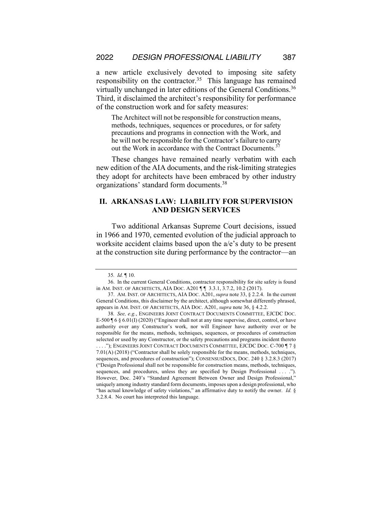a new article exclusively devoted to imposing site safety responsibility on the contractor.35 This language has remained virtually unchanged in later editions of the General Conditions.<sup>36</sup> Third, it disclaimed the architect's responsibility for performance of the construction work and for safety measures:

The Architect will not be responsible for construction means, methods, techniques, sequences or procedures, or for safety precautions and programs in connection with the Work, and he will not be responsible for the Contractor's failure to carry out the Work in accordance with the Contract Documents.<sup>3</sup>

These changes have remained nearly verbatim with each new edition of the AIA documents, and the risk-limiting strategies they adopt for architects have been embraced by other industry organizations' standard form documents.38

#### **II. ARKANSAS LAW: LIABILITY FOR SUPERVISION AND DESIGN SERVICES**

Two additional Arkansas Supreme Court decisions, issued in 1966 and 1970, cemented evolution of the judicial approach to worksite accident claims based upon the a/e's duty to be present at the construction site during performance by the contractor—an

<sup>35</sup>*. Id.* ¶ 10.

<sup>36.</sup> In the current General Conditions, contractor responsibility for site safety is found in AM. INST. OF ARCHITECTS, AIA DOC. A201 [ 1 3.3.1, 3.7.2, 10.2 (2017).

<sup>37.</sup> AM. INST. OF ARCHITECTS, AIA DOC. A201, *supra* note 33, § 2.2.4. In the current General Conditions, this disclaimer by the architect, although somewhat differently phrased, appears in AM. INST. OF ARCHITECTS, AIA DOC. A201, *supra* note 36, § 4.2.2.

<sup>38</sup>*. See, e.g.*, ENGINEERS JOINT CONTRACT DOCUMENTS COMMITTEE, EJCDC DOC. E-500 ¶ 6 § 6.01(I) (2020) ("Engineer shall not at any time supervise, direct, control, or have authority over any Constructor's work, nor will Engineer have authority over or be responsible for the means, methods, techniques, sequences, or procedures of construction selected or used by any Constructor, or the safety precautions and programs incident thereto . . . ."); ENGINEERS JOINT CONTRACT DOCUMENTS COMMITTEE, EJCDC DOC. C-700 ¶ 7 § 7.01(A) (2018) ("Contractor shall be solely responsible for the means, methods, techniques, sequences, and procedures of construction"); CONSENSUSDOCS, DOC. 240 § 3.2.8.3 (2017) ("Design Professional shall not be responsible for construction means, methods, techniques, sequences, and procedures, unless they are specified by Design Professional . . . ."). However, Doc. 240's "Standard Agreement Between Owner and Design Professional," uniquely among industry standard form documents, imposes upon a design professional, who "has actual knowledge of safety violations," an affirmative duty to notify the owner. *Id.* § 3.2.8.4. No court has interpreted this language.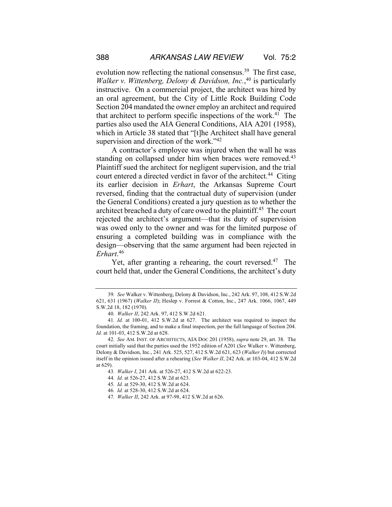evolution now reflecting the national consensus.<sup>39</sup> The first case, *Walker v. Wittenberg, Delony & Davidson, Inc.*, <sup>40</sup> is particularly instructive. On a commercial project, the architect was hired by an oral agreement, but the City of Little Rock Building Code Section 204 mandated the owner employ an architect and required that architect to perform specific inspections of the work. 41 The parties also used the AIA General Conditions, AIA A201 (1958), which in Article 38 stated that "[t]he Architect shall have general supervision and direction of the work."<sup>42</sup>

A contractor's employee was injured when the wall he was standing on collapsed under him when braces were removed.<sup>43</sup> Plaintiff sued the architect for negligent supervision, and the trial court entered a directed verdict in favor of the architect.<sup>44</sup> Citing its earlier decision in *Erhart*, the Arkansas Supreme Court reversed, finding that the contractual duty of supervision (under the General Conditions) created a jury question as to whether the architect breached a duty of care owed to the plaintiff.<sup>45</sup> The court rejected the architect's argument—that its duty of supervision was owed only to the owner and was for the limited purpose of ensuring a completed building was in compliance with the design—observing that the same argument had been rejected in *Erhart*. 46

Yet, after granting a rehearing, the court reversed.<sup>47</sup> The court held that, under the General Conditions, the architect's duty

<sup>39</sup>*. See* Walker v. Wittenberg, Delony & Davidson, Inc., 242 Ark. 97, 108, 412 S.W.2d 621, 631 (1967) (*Walker II*); Heslep v. Forrest & Cotton, Inc., 247 Ark. 1066, 1067, 449 S.W.2d 18, 182 (1970).

<sup>40</sup>*. Walker II*, 242 Ark. 97, 412 S.W.2d 621.

<sup>41</sup>*. Id.* at 100-01, 412 S.W.2d at 627. The architect was required to inspect the foundation, the framing, and to make a final inspection, per the full language of Section 204. *Id.* at 101-03, 412 S.W.2d at 628.

<sup>42</sup>*. See* AM. INST. OF ARCHITECTS, AIA DOC 201 (1958), *supra* note 29, art. 38. The court initially said that the parties used the 1952 edition of A201 (*See* Walker v. Wittenberg, Delony & Davidson, Inc., 241 Ark. 525, 527, 412 S.W.2d 621, 623 (*Walker I*)) but corrected itself in the opinion issued after a rehearing (*See Walker II*, 242 Ark. at 103-04, 412 S.W.2d at 629).

<sup>43</sup>*. Walker I*, 241 Ark. at 526-27, 412 S.W.2d at 622-23.

<sup>44</sup>*. Id.* at 526-27, 412 S.W.2d at 623.

<sup>45</sup>*. Id.* at 529-30, 412 S.W.2d at 624.

<sup>46</sup>*. Id.* at 528-30, 412 S.W.2d at 624.

<sup>47</sup>*. Walker II*, 242 Ark. at 97-98, 412 S.W.2d at 626.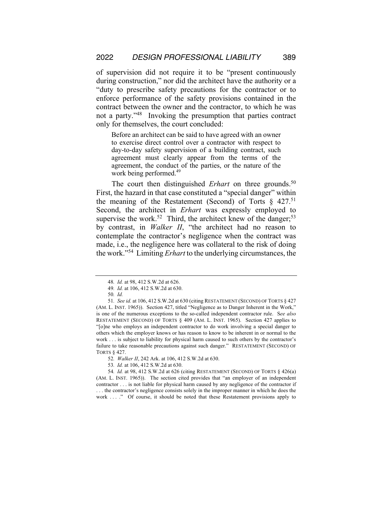of supervision did not require it to be "present continuously during construction," nor did the architect have the authority or a "duty to prescribe safety precautions for the contractor or to enforce performance of the safety provisions contained in the contract between the owner and the contractor, to which he was not a party."48 Invoking the presumption that parties contract only for themselves, the court concluded:

Before an architect can be said to have agreed with an owner to exercise direct control over a contractor with respect to day-to-day safety supervision of a building contract, such agreement must clearly appear from the terms of the agreement, the conduct of the parties, or the nature of the work being performed.<sup>49</sup>

The court then distinguished *Erhart* on three grounds.<sup>50</sup> First, the hazard in that case constituted a "special danger" within the meaning of the Restatement (Second) of Torts  $\S$  427.<sup>51</sup> Second, the architect in *Erhart* was expressly employed to supervise the work.<sup>52</sup> Third, the architect knew of the danger;<sup>53</sup> by contrast, in *Walker II*, "the architect had no reason to contemplate the contractor's negligence when the contract was made, i.e., the negligence here was collateral to the risk of doing the work."54 Limiting *Erhart* to the underlying circumstances, the

<sup>48</sup>*. Id.* at 98, 412 S.W.2d at 626.

<sup>49</sup>*. Id.* at 106, 412 S.W.2d at 630.

<sup>50</sup>*. Id.*

<sup>51</sup>*. See id.* at 106, 412 S.W.2d at 630 (citing RESTATEMENT (SECOND) OF TORTS § 427 (AM. L. INST. 1965)).Section 427, titled "Negligence as to Danger Inherent in the Work," is one of the numerous exceptions to the so-called independent contractor rule. S*ee also*  RESTATEMENT (SECOND) OF TORTS § 409 (AM. L. INST. 1965). Section 427 applies to "[o]ne who employs an independent contractor to do work involving a special danger to others which the employer knows or has reason to know to be inherent in or normal to the work . . . is subject to liability for physical harm caused to such others by the contractor's failure to take reasonable precautions against such danger." RESTATEMENT (SECOND) OF TORTS § 427.

<sup>52</sup>*. Walker II*, 242 Ark. at 106, 412 S.W.2d at 630.

<sup>53</sup>*. Id.* at 106, 412 S.W.2d at 630.

<sup>54</sup>*. Id.* at 98, 412 S.W.2d at 626 (citing RESTATEMENT (SECOND) OF TORTS § 426(a) (AM. L. INST. 1965)). The section cited provides that "an employer of an independent contractor . . . is not liable for physical harm caused by any negligence of the contractor if . . . the contractor's negligence consists solely in the improper manner in which he does the work . . . ." Of course, it should be noted that these Restatement provisions apply to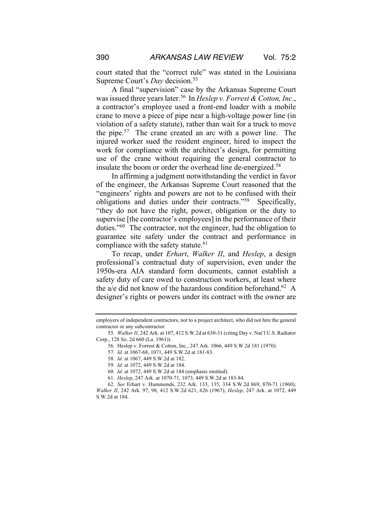court stated that the "correct rule" was stated in the Louisiana Supreme Court's *Day* decision.55

A final "supervision" case by the Arkansas Supreme Court was issued three years later.56 In *Heslep v. Forrest & Cotton, Inc*., a contractor's employee used a front-end loader with a mobile crane to move a piece of pipe near a high-voltage power line (in violation of a safety statute), rather than wait for a truck to move the pipe.57 The crane created an arc with a power line. The injured worker sued the resident engineer, hired to inspect the work for compliance with the architect's design, for permitting use of the crane without requiring the general contractor to insulate the boom or order the overhead line de-energized.<sup>58</sup>

In affirming a judgment notwithstanding the verdict in favor of the engineer, the Arkansas Supreme Court reasoned that the "engineers' rights and powers are not to be confused with their obligations and duties under their contracts."59 Specifically, "they do not have the right, power, obligation or the duty to supervise [the contractor's employees] in the performance of their duties."60 The contractor, not the engineer, had the obligation to guarantee site safety under the contract and performance in compliance with the safety statute.<sup>61</sup>

To recap, under *Erhart*, *Walker II*, and *Heslep*, a design professional's contractual duty of supervision, even under the 1950s-era AIA standard form documents, cannot establish a safety duty of care owed to construction workers, at least where the a/e did not know of the hazardous condition beforehand.<sup>62</sup> A designer's rights or powers under its contract with the owner are

57*. Id.* at 1067-68, 1071, 449 S.W.2d at 181-83.

employers of independent contractors, not to a project architect, who did not hire the general contractor or any subcontractor.

<sup>55</sup>*. Walker II*, 242 Ark. at 107, 412 S.W.2d at 630-31 (citing Day v. Nat'l U.S. Radiator Corp., 128 So. 2d 660 (La. 1961)).

<sup>56.</sup> Heslep v. Forrest & Cotton, Inc., 247 Ark. 1066, 449 S.W.2d 181 (1970).

<sup>58</sup>*. Id.* at 1067, 449 S.W.2d at 182.

<sup>59</sup>*. Id.* at 1072, 449 S.W.2d at 184.

<sup>60</sup>*. Id.* at 1072, 449 S.W.2d at 184 (emphasis omitted).

<sup>61</sup>*. Heslep*, 247 Ark. at 1070-71, 1073, 449 S.W.2d at 183-84.

<sup>62</sup>*. See* Erhart v. Hummonds, 232 Ark. 133, 135, 334 S.W.2d 869, 870-71 (1960); *Walker II*, 242 Ark. 97, 98, 412 S.W.2d 621, 626 (1967); *Heslep*, 247 Ark. at 1072, 449 S.W.2d at 184.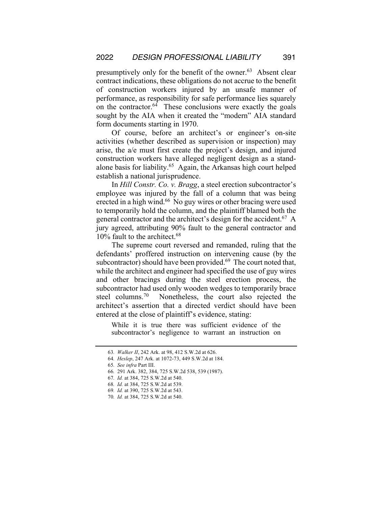presumptively only for the benefit of the owner.<sup>63</sup> Absent clear contract indications, these obligations do not accrue to the benefit of construction workers injured by an unsafe manner of performance, as responsibility for safe performance lies squarely on the contractor.<sup>64</sup> These conclusions were exactly the goals sought by the AIA when it created the "modern" AIA standard form documents starting in 1970.

Of course, before an architect's or engineer's on-site activities (whether described as supervision or inspection) may arise, the a/e must first create the project's design, and injured construction workers have alleged negligent design as a standalone basis for liability.<sup>65</sup> Again, the Arkansas high court helped establish a national jurisprudence.

In *Hill Constr. Co. v. Bragg*, a steel erection subcontractor's employee was injured by the fall of a column that was being erected in a high wind.<sup>66</sup> No guy wires or other bracing were used to temporarily hold the column, and the plaintiff blamed both the general contractor and the architect's design for the accident.<sup>67</sup> A jury agreed, attributing 90% fault to the general contractor and 10% fault to the architect.<sup>68</sup>

The supreme court reversed and remanded, ruling that the defendants' proffered instruction on intervening cause (by the subcontractor) should have been provided.<sup>69</sup> The court noted that, while the architect and engineer had specified the use of guy wires and other bracings during the steel erection process, the subcontractor had used only wooden wedges to temporarily brace steel columns.70Nonetheless, the court also rejected the architect's assertion that a directed verdict should have been entered at the close of plaintiff's evidence, stating:

While it is true there was sufficient evidence of the subcontractor's negligence to warrant an instruction on

- 64*. Heslep*, 247 Ark. at 1072-73, 449 S.W.2d at 184.
- 65*. See infra* Part III.
- 66*.* 291 Ark. 382, 384, 725 S.W.2d 538, 539 (1987).
- 67*. Id.* at 384, 725 S.W.2d at 540.
- 68*. Id.* at 384, 725 S.W.2d at 539.
- 69*. Id.* at 390, 725 S.W.2d at 543.

<sup>63</sup>*. Walker II*, 242 Ark. at 98, 412 S.W.2d at 626.

<sup>70</sup>*. Id.* at 384, 725 S.W.2d at 540.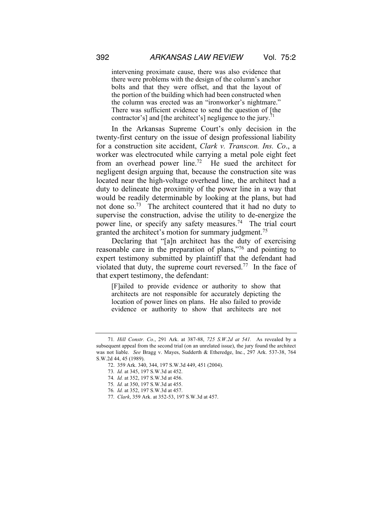intervening proximate cause, there was also evidence that there were problems with the design of the column's anchor bolts and that they were offset, and that the layout of the portion of the building which had been constructed when the column was erected was an "ironworker's nightmare." There was sufficient evidence to send the question of [the contractor's] and [the architect's] negligence to the jury.<sup>7</sup>

In the Arkansas Supreme Court's only decision in the twenty-first century on the issue of design professional liability for a construction site accident, *Clark v. Transcon. Ins. Co*., a worker was electrocuted while carrying a metal pole eight feet from an overhead power line.<sup>72</sup> He sued the architect for negligent design arguing that, because the construction site was located near the high-voltage overhead line, the architect had a duty to delineate the proximity of the power line in a way that would be readily determinable by looking at the plans, but had not done so.73 The architect countered that it had no duty to supervise the construction, advise the utility to de-energize the power line, or specify any safety measures.<sup>74</sup> The trial court granted the architect's motion for summary judgment.<sup>75</sup>

Declaring that "[a]n architect has the duty of exercising reasonable care in the preparation of plans,"76 and pointing to expert testimony submitted by plaintiff that the defendant had violated that duty, the supreme court reversed.<sup>77</sup> In the face of that expert testimony, the defendant:

[F]ailed to provide evidence or authority to show that architects are not responsible for accurately depicting the location of power lines on plans. He also failed to provide evidence or authority to show that architects are not

<sup>71</sup>*. Hill Constr. Co.*, 291 Ark. at 387-88, *725 S.W.2d at 541.* As revealed by a subsequent appeal from the second trial (on an unrelated issue), the jury found the architect was not liable. *See* Bragg v. Mayes, Sudderth & Etheredge, Inc., 297 Ark. 537-38, 764 S.W.2d 44, 45 (1989).

<sup>72.</sup> 359 Ark. 340, 344, 197 S.W.3d 449, 451 (2004).

<sup>73</sup>*. Id.* at 345, 197 S.W.3d at 452.

<sup>74</sup>*. Id.* at 352, 197 S.W.3d at 456.

<sup>75</sup>*. Id.* at 350, 197 S.W.3d at 455.

<sup>76</sup>*. Id.* at 352, 197 S.W.3d at 457.

<sup>77</sup>*. Clark*, 359 Ark. at 352-53, 197 S.W.3d at 457.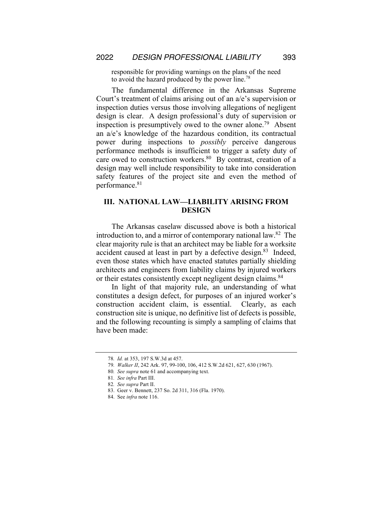responsible for providing warnings on the plans of the need to avoid the hazard produced by the power line.<sup>78</sup>

The fundamental difference in the Arkansas Supreme Court's treatment of claims arising out of an a/e's supervision or inspection duties versus those involving allegations of negligent design is clear. A design professional's duty of supervision or inspection is presumptively owed to the owner alone.<sup>79</sup> Absent an a/e's knowledge of the hazardous condition, its contractual power during inspections to *possibly* perceive dangerous performance methods is insufficient to trigger a safety duty of care owed to construction workers.<sup>80</sup> By contrast, creation of a design may well include responsibility to take into consideration safety features of the project site and even the method of performance.<sup>81</sup>

#### **III. NATIONAL LAW—LIABILITY ARISING FROM DESIGN**

The Arkansas caselaw discussed above is both a historical introduction to, and a mirror of contemporary national law.82 The clear majority rule is that an architect may be liable for a worksite accident caused at least in part by a defective design.<sup>83</sup> Indeed, even those states which have enacted statutes partially shielding architects and engineers from liability claims by injured workers or their estates consistently except negligent design claims.<sup>84</sup>

In light of that majority rule, an understanding of what constitutes a design defect, for purposes of an injured worker's construction accident claim, is essential. Clearly, as each construction site is unique, no definitive list of defects is possible, and the following recounting is simply a sampling of claims that have been made:

<sup>78</sup>*. Id.* at 353, 197 S.W.3d at 457.

<sup>79</sup>*. Walker II*, 242 Ark. 97, 99-100, 106, 412 S.W.2d 621, 627, 630 (1967).

<sup>80</sup>*. See supra* note 61 and accompanying text.

<sup>81</sup>*. See infra* Part III.

<sup>82</sup>*. See supra* Part II.

<sup>83.</sup> Geer v. Bennett, 237 So. 2d 311, 316 (Fla. 1970).

<sup>84.</sup> See *infra* note 116.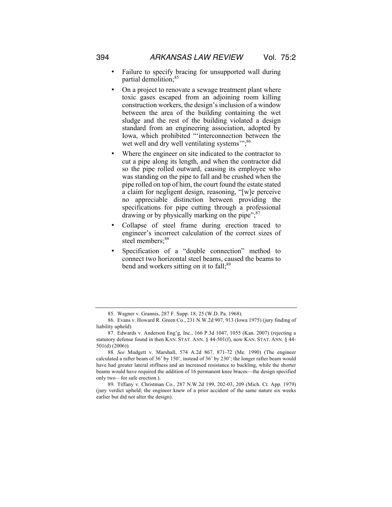- Failure to specify bracing for unsupported wall during partial demolition;<sup>85</sup>
- On a project to renovate a sewage treatment plant where toxic gases escaped from an adjoining room killing construction workers, the design's inclusion of a window between the area of the building containing the wet sludge and the rest of the building violated a design standard from an engineering association, adopted by Iowa, which prohibited "'interconnection between the wet well and dry well ventilating systems";<sup>86</sup>
- Where the engineer on site indicated to the contractor to cut a pipe along its length, and when the contractor did so the pipe rolled outward, causing its employee who was standing on the pipe to fall and be crushed when the pipe rolled on top of him, the court found the estate stated a claim for negligent design, reasoning, "[w]e perceive no appreciable distinction between providing the specifications for pipe cutting through a professional drawing or by physically marking on the pipe"; $\frac{87}{3}$
- Collapse of steel frame during erection traced to engineer's incorrect calculation of the correct sizes of steel members;<sup>88</sup>
- Specification of a "double connection" method to connect two horizontal steel beams, caused the beams to bend and workers sitting on it to fall;<sup>89</sup>

<sup>85.</sup> Wagner v. Grannis, 287 F. Supp. 18, 25 (W.D. Pa. 1968).

<sup>86.</sup> Evans v. Howard R. Green Co., 231 N.W.2d 907, 913 (Iowa 1975) (jury finding of liability upheld).

<sup>87.</sup> Edwards v. Anderson Eng'g, Inc., 166 P.3d 1047, 1055 (Kan. 2007) (rejecting a statutory defense found in then KAN. STAT. ANN. § 44-501(f), now KAN. STAT. ANN. § 44- 501(d) (2006)).

<sup>88</sup>*. See* Mudgett v. Marshall, 574 A.2d 867, 871-72 (Me. 1990) (The engineer calculated a rafter beam of 36' by 150', instead of 36' by 230'; the longer rafter beam would have had greater lateral stiffness and an increased resistance to buckling, while the shorter beams would have required the addition of 16 permanent knee braces—the design specified only two—for safe erection.).

<sup>89.</sup> Tiffany v. Christman Co., 287 N.W.2d 199, 202-03, 209 (Mich. Ct. App. 1979) (jury verdict upheld; the engineer knew of a prior accident of the same nature six weeks earlier but did not alter the design).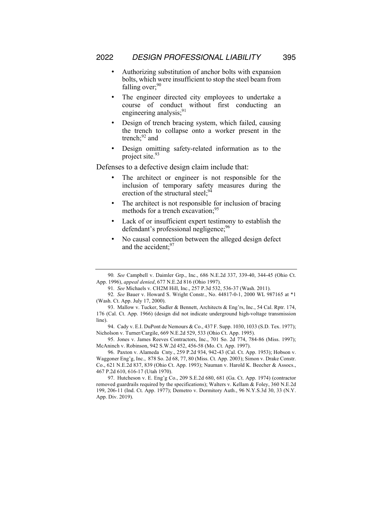- Authorizing substitution of anchor bolts with expansion bolts, which were insufficient to stop the steel beam from falling over; $90$
- The engineer directed city employees to undertake a course of conduct without first conducting an engineering analysis; $91$
- Design of trench bracing system, which failed, causing the trench to collapse onto a worker present in the trench; $^{92}$  and
- Design omitting safety-related information as to the project site.<sup>93</sup>

Defenses to a defective design claim include that:

- The architect or engineer is not responsible for the inclusion of temporary safety measures during the erection of the structural steel;  $94$
- The architect is not responsible for inclusion of bracing methods for a trench excavation;<sup>95</sup>
- Lack of or insufficient expert testimony to establish the defendant's professional negligence;<sup>96</sup>
- No causal connection between the alleged design defect and the accident;<sup>97</sup>

95. Jones v. James Reeves Contractors, Inc., 701 So. 2d 774, 784-86 (Miss. 1997); McAninch v. Robinson, 942 S.W.2d 452, 456-58 (Mo. Ct. App. 1997).

96. Paxton v. Alameda Cnty., 259 P.2d 934, 942-43 (Cal. Ct. App. 1953); Hobson v. Waggoner Eng'g, Inc., 878 So. 2d 68, 77, 80 (Miss. Ct. App. 2003); Simon v. Drake Constr. Co., 621 N.E.2d 837, 839 (Ohio Ct. App. 1993); Nauman v. Harold K. Beecher & Assocs., 467 P.2d 610, 616-17 (Utah 1970).

97. Hutcheson v. E. Eng'g Co., 209 S.E.2d 680, 681 (Ga. Ct. App. 1974) (contractor removed guardrails required by the specifications); Walters v. Kellam & Foley, 360 N.E.2d 199, 206-11 (Ind. Ct. App. 1977); Demetro v. Dormitory Auth., 96 N.Y.S.3d 30, 33 (N.Y. App. Div. 2019).

<sup>90</sup>*. See* Campbell v. Daimler Grp., Inc., 686 N.E.2d 337, 339-40, 344-45 (Ohio Ct. App. 1996), *appeal denied*, 677 N.E.2d 816 (Ohio 1997).

<sup>91</sup>*. See* Michaels v. CH2M Hill, Inc., 257 P.3d 532, 536-37 (Wash. 2011).

<sup>92</sup>*. See* Bauer v. Howard S. Wright Constr., No. 44817-0-1, 2000 WL 987165 at \*1 (Wash. Ct. App. July 17, 2000).

<sup>93.</sup> Mallow v. Tucker, Sadler & Bennett, Architects & Eng'rs, Inc., 54 Cal. Rptr. 174, 176 (Cal. Ct. App. 1966) (design did not indicate underground high-voltage transmission line).

<sup>94.</sup> Cady v. E.I. DuPont de Nemours & Co., 437 F. Supp. 1030, 1033 (S.D. Tex. 1977); Nicholson v. Turner/Cargile, 669 N.E.2d 529, 533 (Ohio Ct. App. 1995).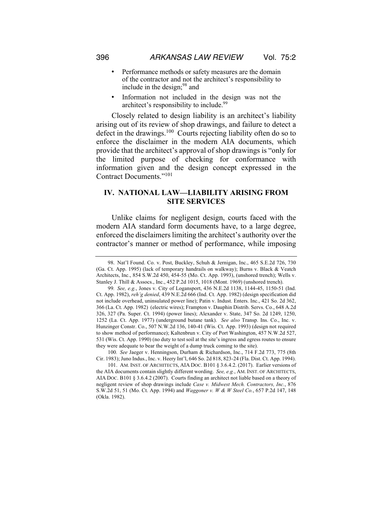- Performance methods or safety measures are the domain of the contractor and not the architect's responsibility to include in the design; $98$  and
- Information not included in the design was not the architect's responsibility to include.<sup>99</sup>

Closely related to design liability is an architect's liability arising out of its review of shop drawings, and failure to detect a defect in the drawings.<sup>100</sup> Courts rejecting liability often do so to enforce the disclaimer in the modern AIA documents, which provide that the architect's approval of shop drawings is "only for the limited purpose of checking for conformance with information given and the design concept expressed in the Contract Documents."101

#### **IV. NATIONAL LAW—LIABILITY ARISING FROM SITE SERVICES**

Unlike claims for negligent design, courts faced with the modern AIA standard form documents have, to a large degree, enforced the disclaimers limiting the architect's authority over the contractor's manner or method of performance, while imposing

100*. See* Jaeger v. Henningson, Durham & Richardson, Inc., 714 F.2d 773, 775 (8th Cir. 1983); Juno Indus., Inc. v. Heery Int'l, 646 So. 2d 818, 823-24 (Fla. Dist. Ct. App. 1994).

<sup>98.</sup> Nat'l Found. Co. v. Post, Buckley, Schuh & Jernigan, Inc., 465 S.E.2d 726, 730 (Ga. Ct. App. 1995) (lack of temporary handrails on walkway); Burns v. Black & Veatch Architects, Inc., 854 S.W.2d 450, 454-55 (Mo. Ct. App. 1993), (unshored trench); Wells v. Stanley J. Thill & Assocs., Inc., 452 P.2d 1015, 1018 (Mont. 1969) (unshored trench).

<sup>99</sup>*. See, e.g.*, Jones v. City of Logansport, 436 N.E.2d 1138, 1144-45, 1150-51 (Ind. Ct. App. 1982), *reh'g denied*, 439 N.E.2d 666 (Ind. Ct. App. 1982) (design specification did not include overhead, uninsulated power line); Patin v. Indust. Enters. Inc., 421 So. 2d 362, 366 (La. Ct. App. 1982) (electric wires); Frampton v. Dauphin Distrib. Servs. Co., 648 A.2d 326, 327 (Pa. Super. Ct. 1994) (power lines); Alexander v. State, 347 So. 2d 1249, 1250, 1252 (La. Ct. App. 1977) (underground butane tank). *See also* Transp. Ins. Co., Inc. v. Hunzinger Constr. Co., 507 N.W.2d 136, 140-41 (Wis. Ct. App. 1993) (design not required to show method of performance); Kaltenbrun v. City of Port Washington, 457 N.W.2d 527, 531 (Wis. Ct. App. 1990) (no duty to test soil at the site's ingress and egress routes to ensure they were adequate to bear the weight of a dump truck coming to the site).

<sup>101.</sup> AM. INST. OF ARCHITECTS, AIA DOC. B101 § 3.6.4.2. (2017). Earlier versions of the AIA documents contain slightly different wording. *See, e.g.*, AM. INST. OF ARCHITECTS, AIA DOC. B101 § 3.6.4.2 (2007). Courts finding an architect not liable based on a theory of negligent review of shop drawings include *Case v. Midwest Mech. Contractors, Inc.*, 876 S.W.2d 51, 51 (Mo. Ct. App. 1994) and *Waggoner v. W & W Steel Co.*, 657 P.2d 147, 148 (Okla. 1982).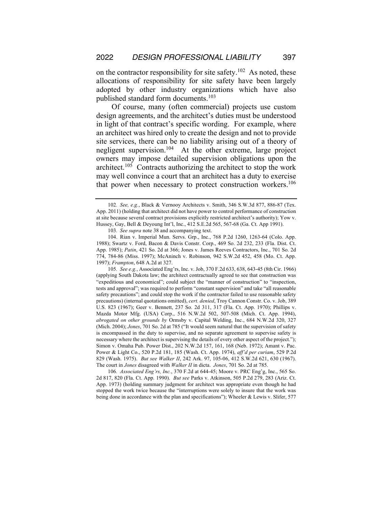on the contractor responsibility for site safety.<sup>102</sup> As noted, these allocations of responsibility for site safety have been largely adopted by other industry organizations which have also published standard form documents.103

Of course, many (often commercial) projects use custom design agreements, and the architect's duties must be understood in light of that contract's specific wording. For example, where an architect was hired only to create the design and not to provide site services, there can be no liability arising out of a theory of negligent supervision.104 At the other extreme, large project owners may impose detailed supervision obligations upon the architect.105 Contracts authorizing the architect to stop the work may well convince a court that an architect has a duty to exercise that power when necessary to protect construction workers.<sup>106</sup>

105*. See e.g.*, Associated Eng'rs, Inc. v. Job, 370 F.2d 633, 638, 643-45 (8th Cir. 1966) (applying South Dakota law; the architect contractually agreed to see that construction was "expeditious and economical"; could subject the "manner of construction" to "inspection, tests and approval"; was required to perform "constant supervision" and take "all reasonable safety precautions"; and could stop the work if the contractor failed to use reasonable safety precautions) (internal quotations omitted), *cert. denied*, Troy Cannon Constr. Co. v. Job, 389 U.S. 823 (1967); Geer v. Bennett, 237 So. 2d 311, 317 (Fla. Ct. App. 1970); Phillips v. Mazda Motor Mfg. (USA) Corp., 516 N.W.2d 502, 507-508 (Mich. Ct. App. 1994), *abrogated on other grounds by* Ormsby v. Capital Welding, Inc., 684 N.W.2d 320, 327 (Mich. 2004); *Jones*, 701 So. 2d at 785 ("It would seem natural that the supervision of safety is encompassed in the duty to supervise, and no separate agreement to supervise safety is necessary where the architect is supervising the details of every other aspect of the project."); Simon v. Omaha Pub. Power Dist., 202 N.W.2d 157, 161, 168 (Neb. 1972); Amant v. Pac. Power & Light Co., 520 P.2d 181, 185 (Wash. Ct. App. 1974), *aff'd per curiam*, 529 P.2d 829 (Wash. 1975). *But see Walker II*, 242 Ark. 97, 105-06, 412 S.W.2d 621, 630 (1967). The court in *Jones* disagreed with *Walker II* in dicta. *Jones*, 701 So. 2d at 785.

106*. Associated Eng'rs, Inc.*, 370 F.2d at 644-45; Moore v. PRC Eng'g, Inc., 565 So. 2d 817, 820 (Fla. Ct. App. 1990). *But see* Parks v. Atkinson, 505 P.2d 279, 283 (Ariz. Ct. App. 1973) (holding summary judgment for architect was appropriate even though he had stopped the work twice because the "interruptions were solely to insure that the work was being done in accordance with the plan and specifications"); Wheeler & Lewis v. Slifer, 577

<sup>102</sup>*. See, e.g.*, Black & Vernooy Architects v. Smith, 346 S.W.3d 877, 886-87 (Tex. App. 2011) (holding that architect did not have power to control performance of construction at site because several contract provisions explicitly restricted architect's authority); Yow v. Hussey, Gay, Bell & Deyoung Int'l, Inc., 412 S.E.2d 565, 567-68 (Ga. Ct. App 1991).

<sup>103</sup>*. See supra* note 38 and accompanying text.

<sup>104.</sup> Rian v. Imperial Mun. Servs. Grp., Inc., 768 P.2d 1260, 1263-64 (Colo. App. 1988); Swartz v. Ford, Bacon & Davis Constr. Corp., 469 So. 2d 232, 233 (Fla. Dist. Ct. App. 1985); *Patin*, 421 So. 2d at 366; Jones v. James Reeves Contractors, Inc., 701 So. 2d 774, 784-86 (Miss. 1997); McAninch v. Robinson, 942 S.W.2d 452, 458 (Mo. Ct. App. 1997); *Frampton*, 648 A.2d at 327.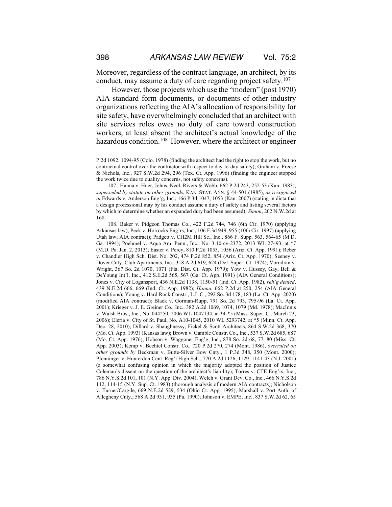Moreover, regardless of the contract language, an architect, by its conduct, may assume a duty of care regarding project safety.<sup>107</sup>

However, those projects which use the "modern" (post 1970) AIA standard form documents, or documents of other industry organizations reflecting the AIA's allocation of responsibility for site safety, have overwhelmingly concluded that an architect with site services roles owes no duty of care toward construction workers, at least absent the architect's actual knowledge of the hazardous condition.<sup>108</sup> However, where the architect or engineer

P.2d 1092, 1094-95 (Colo. 1978) (finding the architect had the right to stop the work, but no contractual control over the contractor with respect to day-to-day safety); Graham v. Freese & Nichols, Inc., 927 S.W.2d 294, 296 (Tex. Ct. App. 1996) (finding the engineer stopped the work twice due to quality concerns, not safety concerns).

<sup>107.</sup> Hanna v. Huer, Johns, Neel, Rivers & Webb, 662 P.2d 243, 252-53 (Kan. 1983), *superseded by statute on other grounds*, KAN. STAT. ANN. § 44-501 (1985), *as recognized in* Edwards v. Anderson Eng'g, Inc., 166 P.3d 1047, 1053 (Kan. 2007) (stating in dicta that a design professional may by his conduct assume a duty of safety and listing several factors by which to determine whether an expanded duty had been assumed); *Simon*, 202 N.W.2d at 168.

<sup>108.</sup> Baker v. Pidgeon Thomas Co., 422 F.2d 744, 746 (6th Cir. 1970) (applying Arkansas law); Peck v. Horrocks Eng'rs, Inc., 106 F.3d 949, 955 (10th Cir. 1997) (applying Utah law; AIA contract); Padgett v. CH2M Hill Se., Inc., 866 F. Supp. 563, 564-65 (M.D. Ga. 1994); Poehmel v. Aqua Am. Penn., Inc., No. 3:10-cv-2372, 2013 WL 27493, at \*7 (M.D. Pa. Jan. 2, 2013); Easter v. Percy, 810 P.2d 1053, 1056 (Ariz. Ct. App. 1991); Reber v. Chandler High Sch. Dist. No. 202, 474 P.2d 852, 854 (Ariz. Ct. App. 1970); Seeney v. Dover Cnty. Club Apartments, Inc., 318 A.2d 619, 624 (Del. Super. Ct. 1974); Vorndran v. Wright, 367 So. 2d 1070, 1071 (Fla. Dist. Ct. App. 1979); Yow v. Hussey, Gay, Bell & DeYoung Int'l, Inc., 412 S.E.2d 565, 567 (Ga. Ct. App. 1991) (AIA General Conditions); Jones v. City of Logansport, 436 N.E.2d 1138, 1150-51 (Ind. Ct. App. 1982), *reh'g denied*, 439 N.E.2d 666, 669 (Ind. Ct. App. 1982); *Hanna*, 662 P.2d at 250, 254 (AIA General Conditions); Young v. Hard Rock Constr., L.L.C., 292 So. 3d 178, 183 (La. Ct. App. 2020) (modified AIA contract); Black v. Gorman-Rupp, 791 So. 2d 793, 795-96 (La. Ct. App. 2001); Krieger v. J. E. Greiner Co., Inc., 382 A.2d 1069, 1074, 1079 (Md. 1978); MacInnis v. Walsh Bros., Inc., No. 044250, 2006 WL 1047134, at \*4-\*5 (Mass. Super. Ct. March 23, 2006); Eleria v. City of St. Paul, No. A10-1045, 2010 WL 5293742, at \*5 (Minn. Ct. App. Dec. 28, 2010); Dillard v. Shaughnessy, Fickel & Scott Architects, 864 S.W.2d 368, 370 (Mo. Ct. App. 1993) (Kansas law); Brown v. Gamble Constr. Co., Inc., 537 S.W.2d 685, 687 (Mo. Ct. App. 1976); Hobson v. Waggoner Eng'g, Inc., 878 So. 2d 68, 77, 80 (Miss. Ct. App. 2003); Kemp v. Bechtel Constr. Co., 720 P.2d 270, 274 (Mont. 1986), *overruled on other grounds by* Beckman v. Butte-Silver Bow Cnty., 1 P.3d 348, 350 (Mont. 2000); Pfenninger v. Hunterdon Cent. Reg'l High Sch., 770 A.2d 1126, 1129, 1141-43 (N.J. 2001) (a somewhat confusing opinion in which the majority adopted the position of Justice Coleman's dissent on the question of the architect's liability); Torres v. CTE Eng'rs, Inc., 786 N.Y.S.2d 101, 101 (N.Y. App. Div. 2004); Welch v. Grant Dev. Co., Inc., 466 N.Y.S.2d 112, 114-15 (N.Y. Sup. Ct. 1983) (thorough analysis of modern AIA contracts); Nicholson v. Turner/Cargile, 669 N.E.2d 529, 534 (Ohio Ct. App. 1995); Marshall v. Port Auth. of Allegheny Cnty., 568 A.2d 931, 935 (Pa. 1990); Johnson v. EMPE, Inc., 837 S.W.2d 62, 65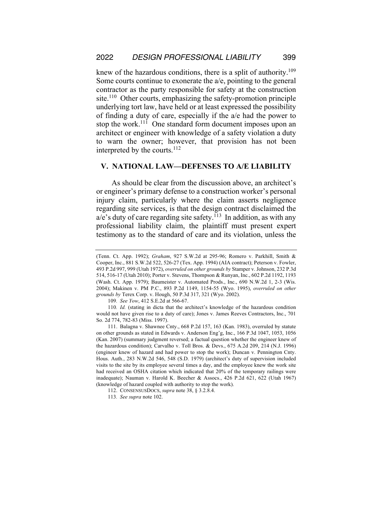knew of the hazardous conditions, there is a split of authority.<sup>109</sup> Some courts continue to exonerate the a/e, pointing to the general contractor as the party responsible for safety at the construction site.<sup>110</sup> Other courts, emphasizing the safety-promotion principle underlying tort law, have held or at least expressed the possibility of finding a duty of care, especially if the a/e had the power to stop the work.<sup>111</sup> One standard form document imposes upon an architect or engineer with knowledge of a safety violation a duty to warn the owner; however, that provision has not been interpreted by the courts.112

#### **V. NATIONAL LAW—DEFENSES TO A/E LIABILITY**

As should be clear from the discussion above, an architect's or engineer's primary defense to a construction worker's personal injury claim, particularly where the claim asserts negligence regarding site services, is that the design contract disclaimed the  $a/e$ 's duty of care regarding site safety.<sup>113</sup> In addition, as with any professional liability claim, the plaintiff must present expert testimony as to the standard of care and its violation, unless the

<sup>(</sup>Tenn. Ct. App. 1992); *Graham*, 927 S.W.2d at 295-96; Romero v. Parkhill, Smith & Cooper, Inc., 881 S.W.2d 522, 526-27 (Tex. App. 1994) (AIA contract); Peterson v. Fowler, 493 P.2d 997, 999 (Utah 1972), *overruled on other grounds by* Stamper v. Johnson, 232 P.3d 514, 516-17 (Utah 2010); Porter v. Stevens, Thompson & Runyan, Inc., 602 P.2d 1192, 1193 (Wash. Ct. App. 1979); Baumeister v. Automated Prods., Inc., 690 N.W.2d 1, 2-3 (Wis. 2004); Makinen v. PM P.C., 893 P.2d 1149, 1154-55 (Wyo. 1995), *overruled on other grounds by* Terex Corp. v. Hough, 50 P.3d 317, 321 (Wyo. 2002).

<sup>109</sup>*. See Yow*, 412 S.E.2d at 566-67.

<sup>110</sup>*. Id.* (stating in dicta that the architect's knowledge of the hazardous condition would not have given rise to a duty of care); Jones v. James Reeves Contractors, Inc., 701 So. 2d 774, 782-83 (Miss. 1997).

<sup>111.</sup> Balagna v. Shawnee Cnty., 668 P.2d 157, 163 (Kan. 1983), overruled by statute on other grounds as stated in Edwards v. Anderson Eng'g, Inc., 166 P.3d 1047, 1053, 1056 (Kan. 2007) (summary judgment reversed; a factual question whether the engineer knew of the hazardous condition); Carvalho v. Toll Bros. & Devs., 675 A.2d 209, 214 (N.J. 1996) (engineer knew of hazard and had power to stop the work); Duncan v. Pennington Cnty. Hous. Auth., 283 N.W.2d 546, 548 (S.D. 1979) (architect's duty of supervision included visits to the site by its employee several times a day, and the employee knew the work site had received an OSHA citation which indicated that 20% of the temporary railings were inadequate); Nauman v. Harold K. Beecher & Assocs., 426 P.2d 621, 622 (Utah 1967) (knowledge of hazard coupled with authority to stop the work).

<sup>112.</sup> CONSENSUSDOCS, *supra* note 38, § 3.2.8.4.

<sup>113</sup>*. See supra* note 102.